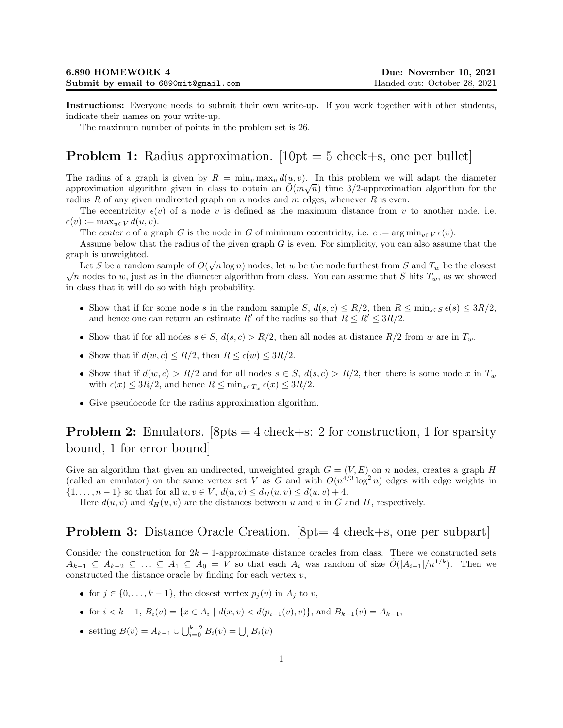Instructions: Everyone needs to submit their own write-up. If you work together with other students, indicate their names on your write-up.

The maximum number of points in the problem set is 26.

## **Problem 1:** Radius approximation.  $[10pt = 5$  check+s, one per bullet

The radius of a graph is given by  $R = \min_v \max_u d(u, v)$ . In this problem we will adapt the diameter approximation algorithm given in class to obtain an  $\tilde{O}(m\sqrt{n})$  time 3/2-approximation algorithm for the radius R of any given undirected graph on  $n$  nodes and  $m$  edges, whenever R is even.

The eccentricity  $\epsilon(v)$  of a node v is defined as the maximum distance from v to another node, i.e.  $\epsilon(v) := \max_{u \in V} d(u, v).$ 

The center c of a graph G is the node in G of minimum eccentricity, i.e.  $c := \arg \min_{v \in V} \epsilon(v)$ .

Assume below that the radius of the given graph  $G$  is even. For simplicity, you can also assume that the graph is unweighted.

Let S be a random sample of  $O(\sqrt{n}\log n)$  nodes, let w be the node furthest from S and  $T_w$  be the closest Let 3 be a random sample of  $O(\sqrt{n} \log n)$  hodes, let w be the hode furthest from 3 and  $T_w$  be the closest  $\sqrt{n}$  nodes to w, just as in the diameter algorithm from class. You can assume that S hits  $T_w$ , as we showed in class that it will do so with high probability.

- Show that if for some node s in the random sample S,  $d(s, c) \leq R/2$ , then  $R \leq \min_{s \in S} \epsilon(s) \leq 3R/2$ , and hence one can return an estimate R' of the radius so that  $R \leq R' \leq 3R/2$ .
- Show that if for all nodes  $s \in S$ ,  $d(s, c) > R/2$ , then all nodes at distance  $R/2$  from w are in  $T_w$ .
- Show that if  $d(w, c) \le R/2$ , then  $R \le \epsilon(w) \le 3R/2$ .
- Show that if  $d(w, c) > R/2$  and for all nodes  $s \in S$ ,  $d(s, c) > R/2$ , then there is some node x in  $T_w$ with  $\epsilon(x) \leq 3R/2$ , and hence  $R \leq \min_{x \in T_w} \epsilon(x) \leq 3R/2$ .
- Give pseudocode for the radius approximation algorithm.

## **Problem 2:** Emulators.  $8pts = 4 check + s$ : 2 for construction, 1 for sparsity bound, 1 for error bound]

Give an algorithm that given an undirected, unweighted graph  $G = (V, E)$  on n nodes, creates a graph H (called an emulator) on the same vertex set V as G and with  $O(n^{4/3} \log^2 n)$  edges with edge weights in  $\{1, \ldots, n-1\}$  so that for all  $u, v \in V$ ,  $d(u, v) \leq d_H(u, v) \leq d(u, v) + 4$ .

Here  $d(u, v)$  and  $d_H(u, v)$  are the distances between u and v in G and H, respectively.

## Problem 3: Distance Oracle Creation. [8pt= 4 check+s, one per subpart]

Consider the construction for  $2k - 1$ -approximate distance oracles from class. There we constructed sets  $A_{k-1} \subseteq A_{k-2} \subseteq \ldots \subseteq A_1 \subseteq A_0 = V$  so that each  $A_i$  was random of size  $O(|A_{i-1}|/n^{1/k})$ . Then we constructed the distance oracle by finding for each vertex  $v$ ,

- for  $j \in \{0, ..., k-1\}$ , the closest vertex  $p_j(v)$  in  $A_j$  to v,
- for  $i < k 1$ ,  $B_i(v) = \{x \in A_i \mid d(x, v) < d(p_{i+1}(v), v)\}$ , and  $B_{k-1}(v) = A_{k-1}$ ,
- setting  $B(v) = A_{k-1} \cup \bigcup_{i=0}^{k-2} B_i(v) = \bigcup_i B_i(v)$